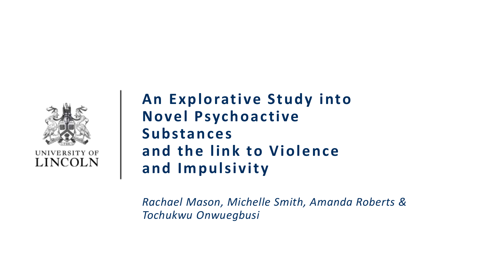

UNIVERSITY OF LINCOLN

**An Explorative Study into Novel Psychoactive Substances and the link to Violence and Impulsivity** 

*Rachael Mason, Michelle Smith, Amanda Roberts & Tochukwu Onwuegbusi*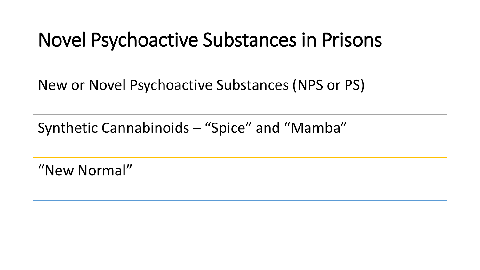## Novel Psychoactive Substances in Prisons

New or Novel Psychoactive Substances (NPS or PS)

Synthetic Cannabinoids – "Spice" and "Mamba"

"New Normal"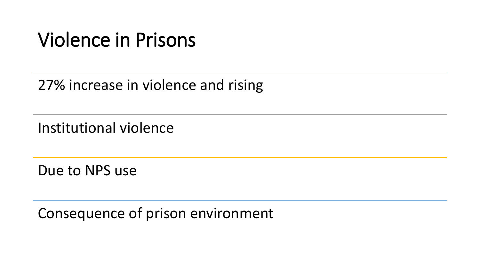## Violence in Prisons

#### 27% increase in violence and rising

Institutional violence

Due to NPS use

Consequence of prison environment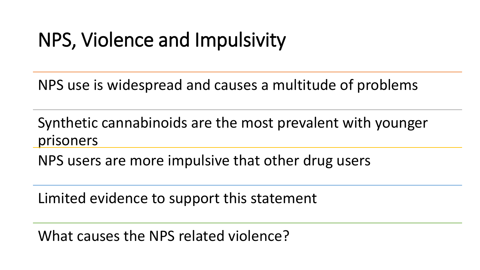## NPS, Violence and Impulsivity

NPS use is widespread and causes a multitude of problems

Synthetic cannabinoids are the most prevalent with younger prisoners

NPS users are more impulsive that other drug users

Limited evidence to support this statement

What causes the NPS related violence?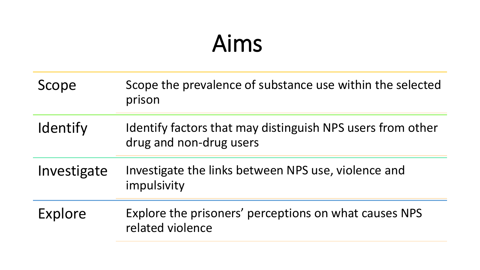# Aims

| Scope       | Scope the prevalence of substance use within the selected<br>prison                   |
|-------------|---------------------------------------------------------------------------------------|
| Identify    | Identify factors that may distinguish NPS users from other<br>drug and non-drug users |
| Investigate | Investigate the links between NPS use, violence and<br>impulsivity                    |
| Explore     | Explore the prisoners' perceptions on what causes NPS<br>related violence             |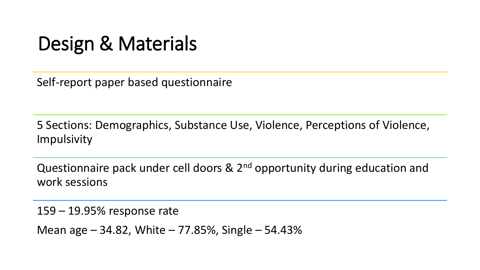## Design & Materials

Self-report paper based questionnaire

5 Sections: Demographics, Substance Use, Violence, Perceptions of Violence, Impulsivity

Questionnaire pack under cell doors & 2<sup>nd</sup> opportunity during education and work sessions

159 – 19.95% response rate

Mean age – 34.82, White – 77.85%, Single – 54.43%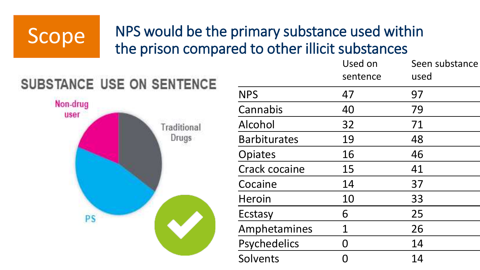### NPS would be the primary substance used within Scope MPS would be the primary substance used with<br>the prison compared to other illicit substances



|                     | Used on<br>sentence | Seen substance<br>used |
|---------------------|---------------------|------------------------|
| <b>NPS</b>          | 47                  | 97                     |
| Cannabis            | 40                  | 79                     |
| Alcohol             | 32                  | 71                     |
| <b>Barbiturates</b> | 19                  | 48                     |
| Opiates             | 16                  | 46                     |
| Crack cocaine       | 15                  | 41                     |
| Cocaine             | 14                  | 37                     |
| Heroin              | 10                  | 33                     |
| Ecstasy             | 6                   | 25                     |
| Amphetamines        | 1                   | 26                     |
| <b>Psychedelics</b> |                     | 14                     |
| Solvents            |                     | 14                     |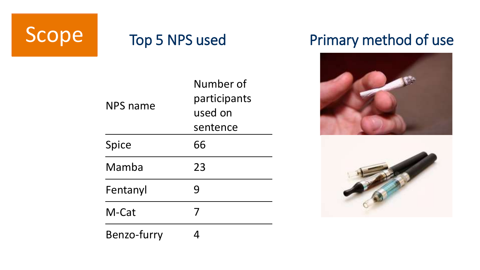

# Scope Top 5 NPS used Primary method of use



| NPS name     | Number of<br>participants<br>used on<br>sentence |
|--------------|--------------------------------------------------|
| <b>Spice</b> | 66                                               |
| Mamba        | 23                                               |
| Fentanyl     | 9                                                |
| M-Cat        | 7                                                |
| Benzo-furry  |                                                  |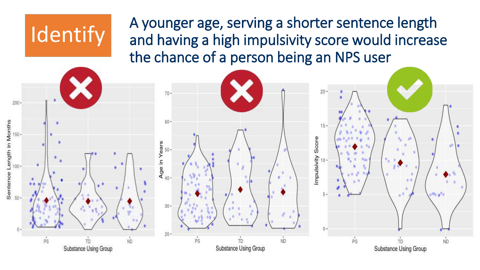A younger age, serving a shorter sentence length and having a high impulsivity score would increase the chance of a person being an NPS user



**Identify**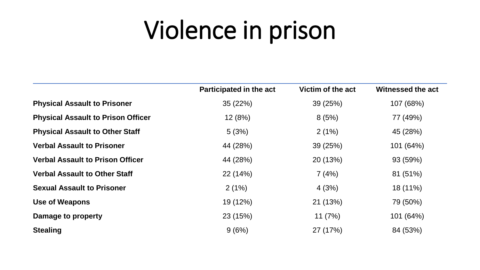# Violence in prison

|                                           | Participated in the act | Victim of the act | Witnessed the act |
|-------------------------------------------|-------------------------|-------------------|-------------------|
| <b>Physical Assault to Prisoner</b>       | 35 (22%)                | 39 (25%)          | 107 (68%)         |
| <b>Physical Assault to Prison Officer</b> | 12 (8%)                 | 8(5%)             | 77 (49%)          |
| <b>Physical Assault to Other Staff</b>    | 5(3%)                   | 2(1%)             | 45 (28%)          |
| <b>Verbal Assault to Prisoner</b>         | 44 (28%)                | 39 (25%)          | 101 (64%)         |
| <b>Verbal Assault to Prison Officer</b>   | 44 (28%)                | 20 (13%)          | 93 (59%)          |
| <b>Verbal Assault to Other Staff</b>      | 22 (14%)                | 7(4%)             | 81 (51%)          |
| <b>Sexual Assault to Prisoner</b>         | 2(1%)                   | 4(3%)             | 18 (11%)          |
| <b>Use of Weapons</b>                     | 19 (12%)                | 21 (13%)          | 79 (50%)          |
| Damage to property                        | 23 (15%)                | 11(7%)            | 101 (64%)         |
| <b>Stealing</b>                           | 9(6%)                   | 27 (17%)          | 84 (53%)          |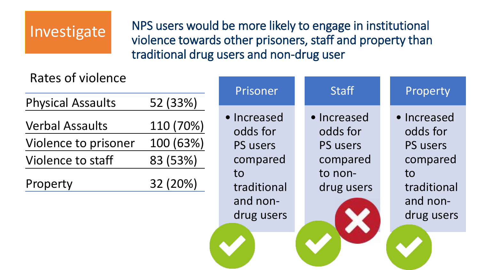### Investigate

NPS users would be more likely to engage in institutional violence towards other prisoners, staff and property than traditional drug users and non-drug user

#### Rates of violence

| <b>Physical Assaults</b> | 52 (33%)  |
|--------------------------|-----------|
| <b>Verbal Assaults</b>   | 110 (70%) |
| Violence to prisoner     | 100 (63%) |
| Violence to staff        | 83 (53%)  |
| Property                 | 32 (20%)  |

| %)                       | Prisoner                                                                                              | <b>Staff</b>                                                                    | Property                                                                                       |
|--------------------------|-------------------------------------------------------------------------------------------------------|---------------------------------------------------------------------------------|------------------------------------------------------------------------------------------------|
| 0%)<br>3%)<br>%)<br>$\%$ | · Increased<br>odds for<br><b>PS users</b><br>compared<br>to<br>traditional<br>and non-<br>drug users | · Increased<br>odds for<br><b>PS users</b><br>compared<br>to non-<br>drug users | • Increased<br>odds for<br>PS users<br>compared<br>to<br>traditional<br>and non-<br>drug users |
|                          |                                                                                                       |                                                                                 |                                                                                                |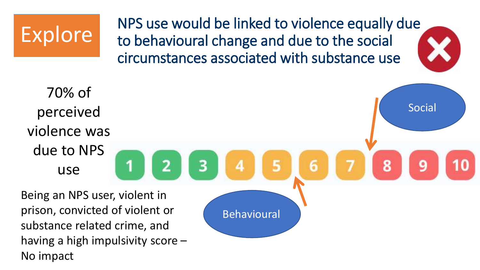

NPS use would be linked to violence equally due to behavioural change and due to the social circumstances associated with substance use

70% of Social perceived violence was due to NPS 8 q use Being an NPS user, violent in Behavioural

prison, convicted of violent or substance related crime, and having a high impulsivity score – No impact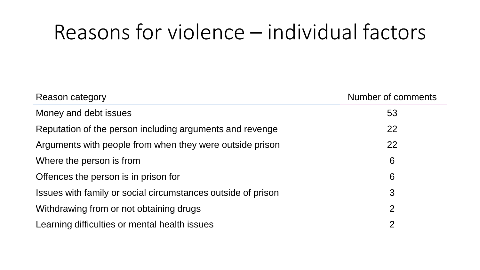# Reasons for violence – individual factors

| Reason category                                              | Number of comments |
|--------------------------------------------------------------|--------------------|
| Money and debt issues                                        | 53                 |
| Reputation of the person including arguments and revenge     | 22                 |
| Arguments with people from when they were outside prison     | 22                 |
| Where the person is from                                     | 6                  |
| Offences the person is in prison for                         | 6                  |
| Issues with family or social circumstances outside of prison | 3                  |
| Withdrawing from or not obtaining drugs                      | 2                  |
| Learning difficulties or mental health issues                | 2                  |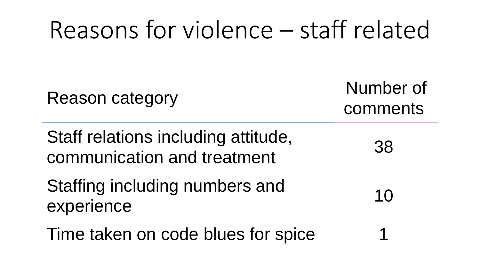# Reasons for violence – staff related Reason category Number of comments Staff relations including attitude, communication and treatment 38 Staffing including numbers and experience distribution of the series and the series and the series of the series of the series of the series  $\frac{10}{10}$ Time taken on code blues for spice 1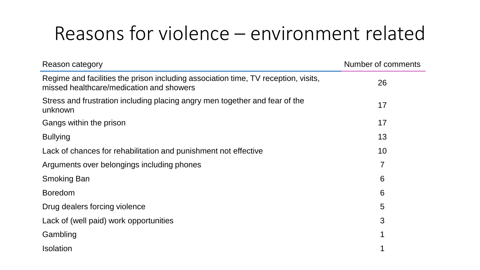## Reasons for violence – environment related

| Reason category                                                                                                                | Number of comments |
|--------------------------------------------------------------------------------------------------------------------------------|--------------------|
| Regime and facilities the prison including association time, TV reception, visits,<br>missed healthcare/medication and showers | 26                 |
| Stress and frustration including placing angry men together and fear of the<br>unknown                                         | 17                 |
| Gangs within the prison                                                                                                        | 17                 |
| <b>Bullying</b>                                                                                                                | 13                 |
| Lack of chances for rehabilitation and punishment not effective                                                                | 10                 |
| Arguments over belongings including phones                                                                                     | 7                  |
| Smoking Ban                                                                                                                    | 6                  |
| <b>Boredom</b>                                                                                                                 | 6                  |
| Drug dealers forcing violence                                                                                                  | 5                  |
| Lack of (well paid) work opportunities                                                                                         | 3                  |
| Gambling                                                                                                                       |                    |
| <b>Isolation</b>                                                                                                               |                    |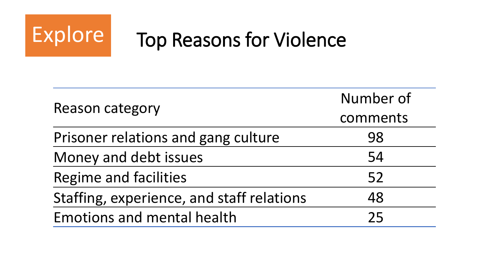

# Explore Top Reasons for Violence

|                                           | Number of |  |
|-------------------------------------------|-----------|--|
| <b>Reason category</b>                    | comments  |  |
| Prisoner relations and gang culture       | 98        |  |
| Money and debt issues                     | 54        |  |
| Regime and facilities                     | 52        |  |
| Staffing, experience, and staff relations | 48        |  |
| <b>Emotions and mental health</b>         | フら        |  |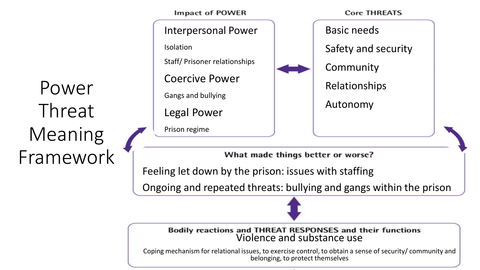Power Threat Meaning Framework

**Impact of POWER Core THREATS** Interpersonal Power Basic needs Isolation Safety and security Staff/ Prisoner relationships Community Coercive Power Relationships Gangs and bullying Autonomy Legal Power Prison regime

What made things better or worse?

Feeling let down by the prison: issues with staffing

Ongoing and repeated threats: bullying and gangs within the prison

Bodily reactions and THREAT RESPONSES and their functions<br>Violence and substance use

Coping mechanism for relational issues, to exercise control, to obtain a sense of security/ community and belonging, to protect themselves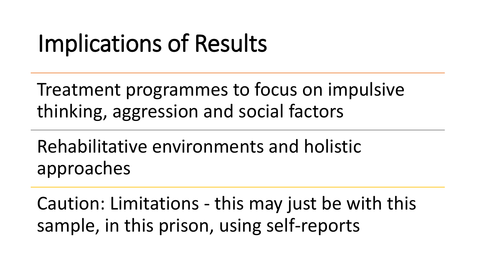# Implications of Results

Treatment programmes to focus on impulsive thinking, aggression and social factors

Rehabilitative environments and holistic approaches

Caution: Limitations - this may just be with this sample, in this prison, using self-reports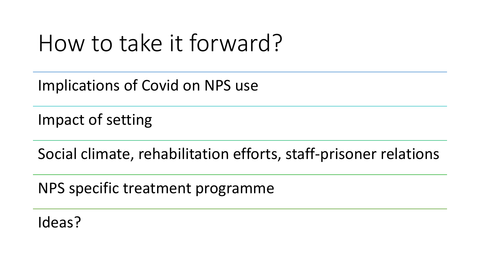# How to take it forward?

Implications of Covid on NPS use

Impact of setting

Social climate, rehabilitation efforts, staff-prisoner relations

NPS specific treatment programme

Ideas?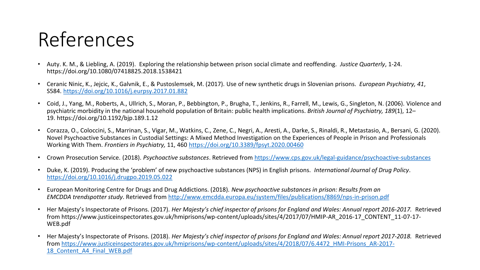## References

- Auty. K. M., & Liebling, A. (2019). Exploring the relationship between prison social climate and reoffending. *Justice Quarterly*, 1-24. https://doi.org/10.1080/07418825.2018.1538421
- Ceranic Ninic, K., Jejcic, K., Galvnik, E., & Pustoslemsek, M. (2017). Use of new synthetic drugs in Slovenian prisons. *European Psychiatry, 41*, S584. <https://doi.org/10.1016/j.eurpsy.2017.01.882>
- Coid, J., Yang, M., Roberts, A., Ullrich, S., Moran, P., Bebbington, P., Brugha, T., Jenkins, R., Farrell, M., Lewis, G., Singleton, N. (2006). Violence and psychiatric morbidity in the national household population of Britain: public health implications. *British Journal of Psychiatry, 189*(1), 12– 19. https://doi.org/10.1192/bjp.189.1.12
- Corazza, O., Coloccini, S., Marrinan, S., Vigar, M., Watkins, C., Zene, C., Negri, A., Aresti, A., Darke, S., Rinaldi, R., Metastasio, A., Bersani, G. (2020). Novel Psychoactive Substances in Custodial Settings: A Mixed Method Investigation on the Experiences of People in Prison and Professionals Working With Them. *Frontiers in Psychiatry,* 11, 460<https://doi.org/10.3389/fpsyt.2020.00460>
- Crown Prosecution Service. (2018). *Psychoactive substances*. Retrieved from <https://www.cps.gov.uk/legal-guidance/psychoactive-substances>
- Duke, K. (2019). Producing the 'problem' of new psychoactive substances (NPS) in English prisons. *International Journal of Drug Policy*. <https://doi.org/10.1016/j.drugpo.2019.05.022>
- European Monitoring Centre for Drugs and Drug Addictions. (2018). *New psychoactive substances in prison: Results from an EMCDDA trendspotter study*. Retrieved from <http://www.emcdda.europa.eu/system/files/publications/8869/nps-in-prison.pdf>
- Her Majesty's Inspectorate of Prisons. (2017). *Her Majesty's chief inspector of prisons for England and Wales: Annual report 2016-2017.* Retrieved from https://www.justiceinspectorates.gov.uk/hmiprisons/wp-content/uploads/sites/4/2017/07/HMIP-AR\_2016-17\_CONTENT\_11-07-17- WEB.pdf
- Her Majesty's Inspectorate of Prisons. (2018). *Her Majesty's chief inspector of prisons for England and Wales: Annual report 2017-2018.* Retrieved from [https://www.justiceinspectorates.gov.uk/hmiprisons/wp-content/uploads/sites/4/2018/07/6.4472\\_HMI-Prisons\\_AR-2017-](https://www.justiceinspectorates.gov.uk/hmiprisons/wp-content/uploads/sites/4/2018/07/6.4472_HMI-Prisons_AR-2017-18_Content_A4_Final_WEB.pdf) 18 Content A4 Final WEB.pdf